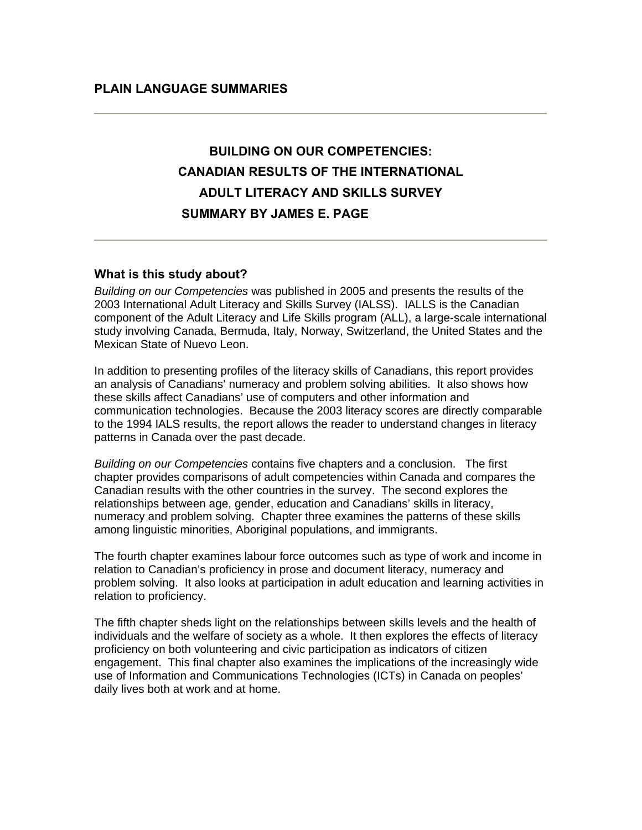# **BUILDING ON OUR COMPETENCIES: CANADIAN RESULTS OF THE INTERNATIONAL ADULT LITERACY AND SKILLS SURVEY SUMMARY BY JAMES E. PAGE**

#### **What is this study about?**

*Building on our Competencies* was published in 2005 and presents the results of the 2003 International Adult Literacy and Skills Survey (IALSS). IALLS is the Canadian component of the Adult Literacy and Life Skills program (ALL), a large-scale international study involving Canada, Bermuda, Italy, Norway, Switzerland, the United States and the Mexican State of Nuevo Leon.

In addition to presenting profiles of the literacy skills of Canadians, this report provides an analysis of Canadians' numeracy and problem solving abilities. It also shows how these skills affect Canadians' use of computers and other information and communication technologies. Because the 2003 literacy scores are directly comparable to the 1994 IALS results, the report allows the reader to understand changes in literacy patterns in Canada over the past decade.

*Building on our Competencies* contains five chapters and a conclusion. The first chapter provides comparisons of adult competencies within Canada and compares the Canadian results with the other countries in the survey. The second explores the relationships between age, gender, education and Canadians' skills in literacy, numeracy and problem solving. Chapter three examines the patterns of these skills among linguistic minorities, Aboriginal populations, and immigrants.

The fourth chapter examines labour force outcomes such as type of work and income in relation to Canadian's proficiency in prose and document literacy, numeracy and problem solving. It also looks at participation in adult education and learning activities in relation to proficiency.

The fifth chapter sheds light on the relationships between skills levels and the health of individuals and the welfare of society as a whole. It then explores the effects of literacy proficiency on both volunteering and civic participation as indicators of citizen engagement. This final chapter also examines the implications of the increasingly wide use of Information and Communications Technologies (ICTs) in Canada on peoples' daily lives both at work and at home.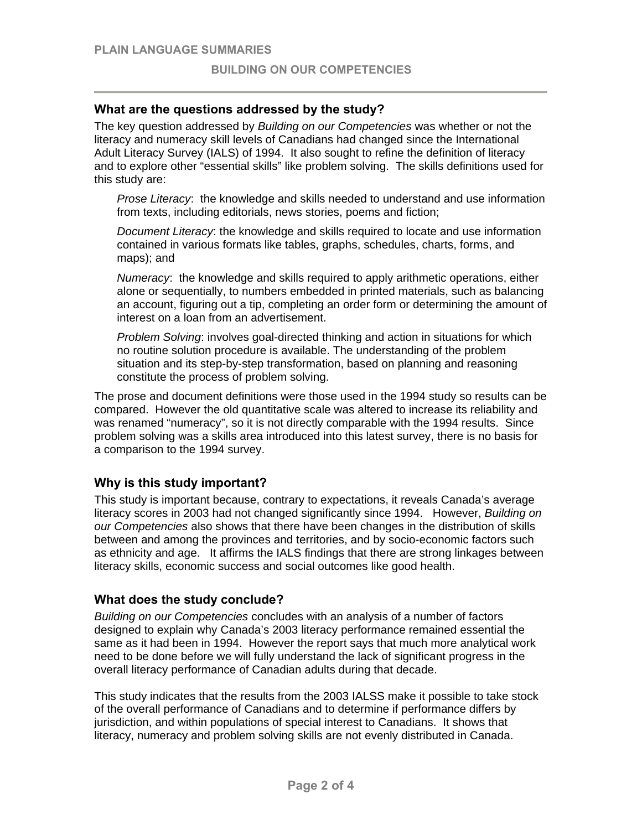## **What are the questions addressed by the study?**

The key question addressed by *Building on our Competencies* was whether or not the literacy and numeracy skill levels of Canadians had changed since the International Adult Literacy Survey (IALS) of 1994. It also sought to refine the definition of literacy and to explore other "essential skills" like problem solving. The skills definitions used for this study are:

*Prose Literacy*:the knowledge and skills needed to understand and use information from texts, including editorials, news stories, poems and fiction;

*Document Literacy*: the knowledge and skills required to locate and use information contained in various formats like tables, graphs, schedules, charts, forms, and maps); and

*Numeracy*: the knowledge and skills required to apply arithmetic operations, either alone or sequentially, to numbers embedded in printed materials, such as balancing an account, figuring out a tip, completing an order form or determining the amount of interest on a loan from an advertisement.

*Problem Solving*: involves goal-directed thinking and action in situations for which no routine solution procedure is available. The understanding of the problem situation and its step-by-step transformation, based on planning and reasoning constitute the process of problem solving.

The prose and document definitions were those used in the 1994 study so results can be compared. However the old quantitative scale was altered to increase its reliability and was renamed "numeracy", so it is not directly comparable with the 1994 results. Since problem solving was a skills area introduced into this latest survey, there is no basis for a comparison to the 1994 survey.

### **Why is this study important?**

This study is important because, contrary to expectations, it reveals Canada's average literacy scores in 2003 had not changed significantly since 1994. However, *Building on our Competencies* also shows that there have been changes in the distribution of skills between and among the provinces and territories, and by socio-economic factors such as ethnicity and age. It affirms the IALS findings that there are strong linkages between literacy skills, economic success and social outcomes like good health.

### **What does the study conclude?**

*Building on our Competencies* concludes with an analysis of a number of factors designed to explain why Canada's 2003 literacy performance remained essential the same as it had been in 1994. However the report says that much more analytical work need to be done before we will fully understand the lack of significant progress in the overall literacy performance of Canadian adults during that decade.

This study indicates that the results from the 2003 IALSS make it possible to take stock of the overall performance of Canadians and to determine if performance differs by jurisdiction, and within populations of special interest to Canadians. It shows that literacy, numeracy and problem solving skills are not evenly distributed in Canada.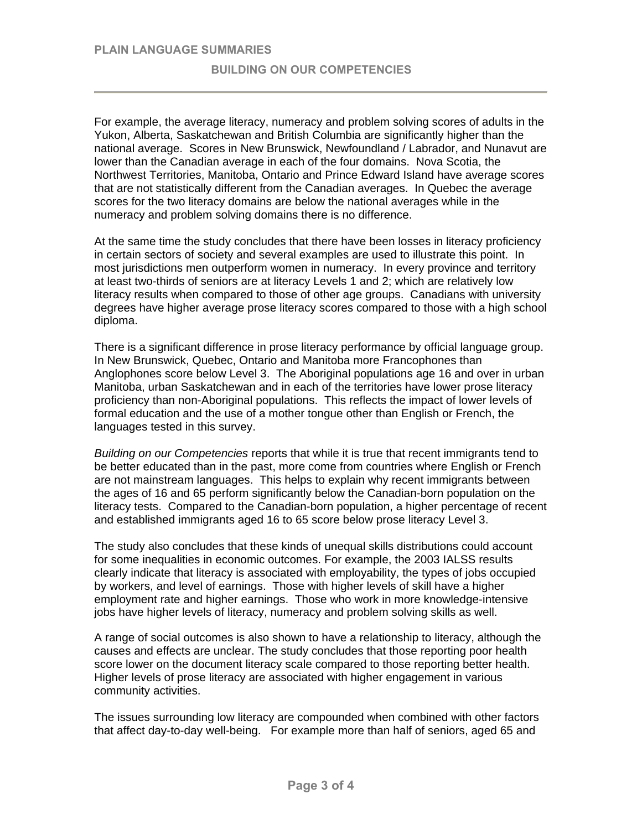For example, the average literacy, numeracy and problem solving scores of adults in the Yukon, Alberta, Saskatchewan and British Columbia are significantly higher than the national average. Scores in New Brunswick, Newfoundland / Labrador, and Nunavut are lower than the Canadian average in each of the four domains. Nova Scotia, the Northwest Territories, Manitoba, Ontario and Prince Edward Island have average scores that are not statistically different from the Canadian averages. In Quebec the average scores for the two literacy domains are below the national averages while in the numeracy and problem solving domains there is no difference.

At the same time the study concludes that there have been losses in literacy proficiency in certain sectors of society and several examples are used to illustrate this point. In most jurisdictions men outperform women in numeracy. In every province and territory at least two-thirds of seniors are at literacy Levels 1 and 2; which are relatively low literacy results when compared to those of other age groups. Canadians with university degrees have higher average prose literacy scores compared to those with a high school diploma.

There is a significant difference in prose literacy performance by official language group. In New Brunswick, Quebec, Ontario and Manitoba more Francophones than Anglophones score below Level 3. The Aboriginal populations age 16 and over in urban Manitoba, urban Saskatchewan and in each of the territories have lower prose literacy proficiency than non-Aboriginal populations. This reflects the impact of lower levels of formal education and the use of a mother tongue other than English or French, the languages tested in this survey.

*Building on our Competencies* reports that while it is true that recent immigrants tend to be better educated than in the past, more come from countries where English or French are not mainstream languages. This helps to explain why recent immigrants between the ages of 16 and 65 perform significantly below the Canadian-born population on the literacy tests. Compared to the Canadian-born population, a higher percentage of recent and established immigrants aged 16 to 65 score below prose literacy Level 3.

The study also concludes that these kinds of unequal skills distributions could account for some inequalities in economic outcomes. For example, the 2003 IALSS results clearly indicate that literacy is associated with employability, the types of jobs occupied by workers, and level of earnings. Those with higher levels of skill have a higher employment rate and higher earnings. Those who work in more knowledge-intensive jobs have higher levels of literacy, numeracy and problem solving skills as well.

A range of social outcomes is also shown to have a relationship to literacy, although the causes and effects are unclear. The study concludes that those reporting poor health score lower on the document literacy scale compared to those reporting better health. Higher levels of prose literacy are associated with higher engagement in various community activities.

The issues surrounding low literacy are compounded when combined with other factors that affect day-to-day well-being. For example more than half of seniors, aged 65 and